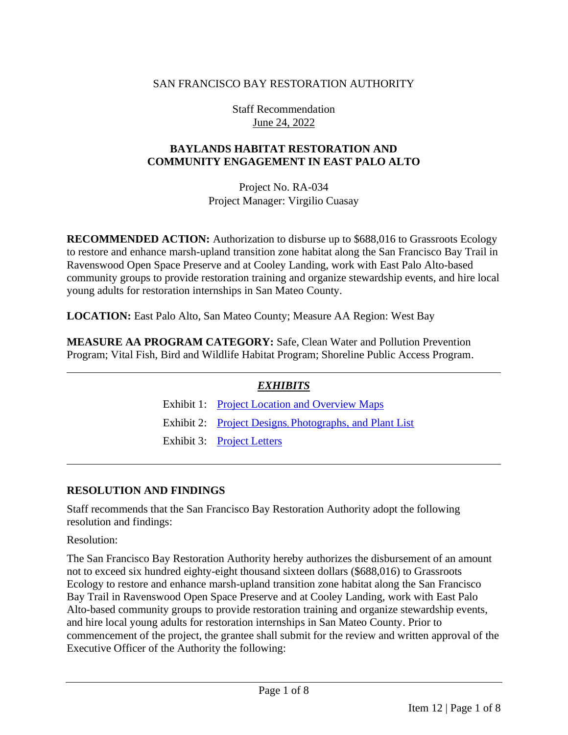### SAN FRANCISCO BAY RESTORATION AUTHORITY

Staff Recommendation June 24, 2022

### **BAYLANDS HABITAT RESTORATION AND COMMUNITY ENGAGEMENT IN EAST PALO ALTO**

Project No. RA-034 Project Manager: Virgilio Cuasay

**RECOMMENDED ACTION:** Authorization to disburse up to \$688,016 to Grassroots Ecology to restore and enhance marsh-upland transition zone habitat along the San Francisco Bay Trail in Ravenswood Open Space Preserve and at Cooley Landing, work with East Palo Alto-based community groups to provide restoration training and organize stewardship events, and hire local young adults for restoration internships in San Mateo County.

**LOCATION:** East Palo Alto, San Mateo County; Measure AA Region: West Bay

**MEASURE AA PROGRAM CATEGORY:** Safe, Clean Water and Pollution Prevention Program; Vital Fish, Bird and Wildlife Habitat Program; Shoreline Public Access Program.

# *EXHIBITS*

Exhibit 1: [Project Location and](https://www.sfbayrestore.org/sites/default/files/2022-06/Item%2012_Grassroots%20Ecology_Ex1.pdf) Overview Maps Exhibit 2: Project Designs, [Photographs, and Plant List](https://www.sfbayrestore.org/sites/default/files/2022-06/Item%2012_Grassroots%20Ecology_Ex2.pdf) Exhibit 3: [Project Letters](https://www.sfbayrestore.org/sites/default/files/2022-06/Item%2012_Grassroots%20Ecology_Ex3.pdf)

#### **RESOLUTION AND FINDINGS**

Staff recommends that the San Francisco Bay Restoration Authority adopt the following resolution and findings:

Resolution:

The San Francisco Bay Restoration Authority hereby authorizes the disbursement of an amount not to exceed six hundred eighty-eight thousand sixteen dollars (\$688,016) to Grassroots Ecology to restore and enhance marsh-upland transition zone habitat along the San Francisco Bay Trail in Ravenswood Open Space Preserve and at Cooley Landing, work with East Palo Alto-based community groups to provide restoration training and organize stewardship events, and hire local young adults for restoration internships in San Mateo County. Prior to commencement of the project, the grantee shall submit for the review and written approval of the Executive Officer of the Authority the following: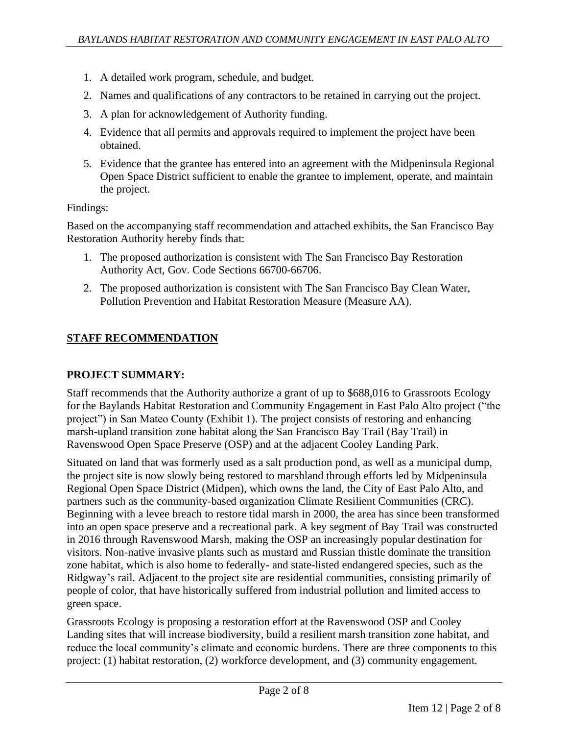- 1. A detailed work program, schedule, and budget.
- 2. Names and qualifications of any contractors to be retained in carrying out the project.
- 3. A plan for acknowledgement of Authority funding.
- 4. Evidence that all permits and approvals required to implement the project have been obtained.
- 5. Evidence that the grantee has entered into an agreement with the Midpeninsula Regional Open Space District sufficient to enable the grantee to implement, operate, and maintain the project.

#### Findings:

Based on the accompanying staff recommendation and attached exhibits, the San Francisco Bay Restoration Authority hereby finds that:

- 1. The proposed authorization is consistent with The San Francisco Bay Restoration Authority Act, Gov. Code Sections 66700-66706.
- 2. The proposed authorization is consistent with The San Francisco Bay Clean Water, Pollution Prevention and Habitat Restoration Measure (Measure AA).

# **STAFF RECOMMENDATION**

# **PROJECT SUMMARY:**

Staff recommends that the Authority authorize a grant of up to \$688,016 to Grassroots Ecology for the Baylands Habitat Restoration and Community Engagement in East Palo Alto project ("the project") in San Mateo County (Exhibit 1). The project consists of restoring and enhancing marsh-upland transition zone habitat along the San Francisco Bay Trail (Bay Trail) in Ravenswood Open Space Preserve (OSP) and at the adjacent Cooley Landing Park.

Situated on land that was formerly used as a salt production pond, as well as a municipal dump, the project site is now slowly being restored to marshland through efforts led by Midpeninsula Regional Open Space District (Midpen), which owns the land, the City of East Palo Alto, and partners such as the community-based organization Climate Resilient Communities (CRC). Beginning with a levee breach to restore tidal marsh in 2000, the area has since been transformed into an open space preserve and a recreational park. A key segment of Bay Trail was constructed in 2016 through Ravenswood Marsh, making the OSP an increasingly popular destination for visitors. Non-native invasive plants such as mustard and Russian thistle dominate the transition zone habitat, which is also home to federally- and state-listed endangered species, such as the Ridgway's rail. Adjacent to the project site are residential communities, consisting primarily of people of color, that have historically suffered from industrial pollution and limited access to green space.

Grassroots Ecology is proposing a restoration effort at the Ravenswood OSP and Cooley Landing sites that will increase biodiversity, build a resilient marsh transition zone habitat, and reduce the local community's climate and economic burdens. There are three components to this project: (1) habitat restoration, (2) workforce development, and (3) community engagement.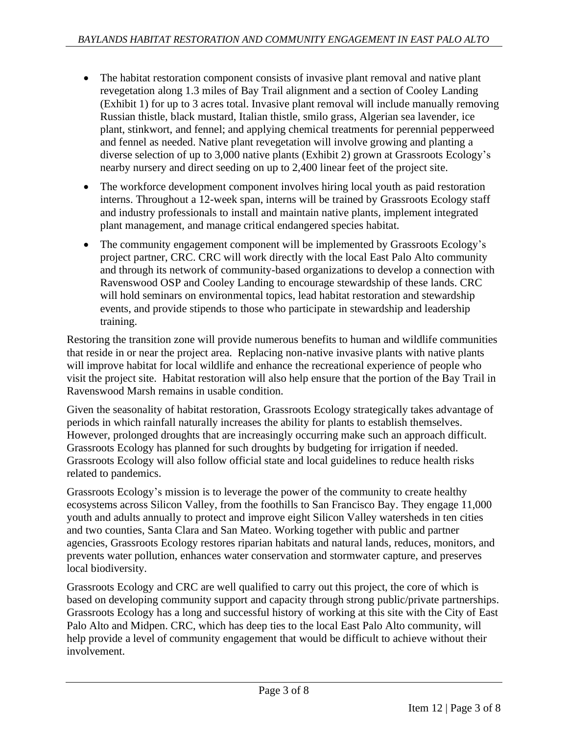- The habitat restoration component consists of invasive plant removal and native plant revegetation along 1.3 miles of Bay Trail alignment and a section of Cooley Landing (Exhibit 1) for up to 3 acres total. Invasive plant removal will include manually removing Russian thistle, black mustard, Italian thistle, smilo grass, Algerian sea lavender, ice plant, stinkwort, and fennel; and applying chemical treatments for perennial pepperweed and fennel as needed. Native plant revegetation will involve growing and planting a diverse selection of up to 3,000 native plants (Exhibit 2) grown at Grassroots Ecology's nearby nursery and direct seeding on up to 2,400 linear feet of the project site.
- The workforce development component involves hiring local youth as paid restoration interns. Throughout a 12-week span, interns will be trained by Grassroots Ecology staff and industry professionals to install and maintain native plants, implement integrated plant management, and manage critical endangered species habitat.
- The community engagement component will be implemented by Grassroots Ecology's project partner, CRC. CRC will work directly with the local East Palo Alto community and through its network of community-based organizations to develop a connection with Ravenswood OSP and Cooley Landing to encourage stewardship of these lands. CRC will hold seminars on environmental topics, lead habitat restoration and stewardship events, and provide stipends to those who participate in stewardship and leadership training.

Restoring the transition zone will provide numerous benefits to human and wildlife communities that reside in or near the project area. Replacing non-native invasive plants with native plants will improve habitat for local wildlife and enhance the recreational experience of people who visit the project site. Habitat restoration will also help ensure that the portion of the Bay Trail in Ravenswood Marsh remains in usable condition.

Given the seasonality of habitat restoration, Grassroots Ecology strategically takes advantage of periods in which rainfall naturally increases the ability for plants to establish themselves. However, prolonged droughts that are increasingly occurring make such an approach difficult. Grassroots Ecology has planned for such droughts by budgeting for irrigation if needed. Grassroots Ecology will also follow official state and local guidelines to reduce health risks related to pandemics.

Grassroots Ecology's mission is to leverage the power of the community to create healthy ecosystems across Silicon Valley, from the foothills to San Francisco Bay. They engage 11,000 youth and adults annually to protect and improve eight Silicon Valley watersheds in ten cities and two counties, Santa Clara and San Mateo. Working together with public and partner agencies, Grassroots Ecology restores riparian habitats and natural lands, reduces, monitors, and prevents water pollution, enhances water conservation and stormwater capture, and preserves local biodiversity.

Grassroots Ecology and CRC are well qualified to carry out this project, the core of which is based on developing community support and capacity through strong public/private partnerships. Grassroots Ecology has a long and successful history of working at this site with the City of East Palo Alto and Midpen. CRC, which has deep ties to the local East Palo Alto community, will help provide a level of community engagement that would be difficult to achieve without their involvement.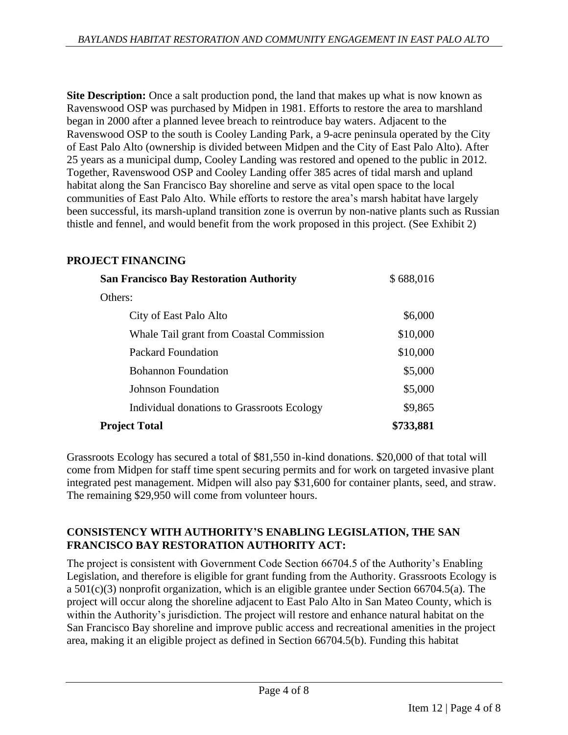**Site Description:** Once a salt production pond, the land that makes up what is now known as Ravenswood OSP was purchased by Midpen in 1981. Efforts to restore the area to marshland began in 2000 after a planned levee breach to reintroduce bay waters. Adjacent to the Ravenswood OSP to the south is Cooley Landing Park, a 9-acre peninsula operated by the City of East Palo Alto (ownership is divided between Midpen and the City of East Palo Alto). After 25 years as a municipal dump, Cooley Landing was restored and opened to the public in 2012. Together, Ravenswood OSP and Cooley Landing offer 385 acres of tidal marsh and upland habitat along the San Francisco Bay shoreline and serve as vital open space to the local communities of East Palo Alto. While efforts to restore the area's marsh habitat have largely been successful, its marsh-upland transition zone is overrun by non-native plants such as Russian thistle and fennel, and would benefit from the work proposed in this project. (See Exhibit 2)

# **PROJECT FINANCING**

| <b>San Francisco Bay Restoration Authority</b> | \$688,016 |
|------------------------------------------------|-----------|
| Others:                                        |           |
| City of East Palo Alto                         | \$6,000   |
| Whale Tail grant from Coastal Commission       | \$10,000  |
| <b>Packard Foundation</b>                      | \$10,000  |
| <b>Bohannon</b> Foundation                     | \$5,000   |
| Johnson Foundation                             | \$5,000   |
| Individual donations to Grassroots Ecology     | \$9,865   |
| <b>Project Total</b>                           | \$733,881 |

Grassroots Ecology has secured a total of \$81,550 in-kind donations. \$20,000 of that total will come from Midpen for staff time spent securing permits and for work on targeted invasive plant integrated pest management. Midpen will also pay \$31,600 for container plants, seed, and straw. The remaining \$29,950 will come from volunteer hours.

# **CONSISTENCY WITH AUTHORITY'S ENABLING LEGISLATION, THE SAN FRANCISCO BAY RESTORATION AUTHORITY ACT:**

The project is consistent with Government Code Section 66704.5 of the Authority's Enabling Legislation, and therefore is eligible for grant funding from the Authority. Grassroots Ecology is a 501(c)(3) nonprofit organization, which is an eligible grantee under Section 66704.5(a). The project will occur along the shoreline adjacent to East Palo Alto in San Mateo County, which is within the Authority's jurisdiction. The project will restore and enhance natural habitat on the San Francisco Bay shoreline and improve public access and recreational amenities in the project area, making it an eligible project as defined in Section 66704.5(b). Funding this habitat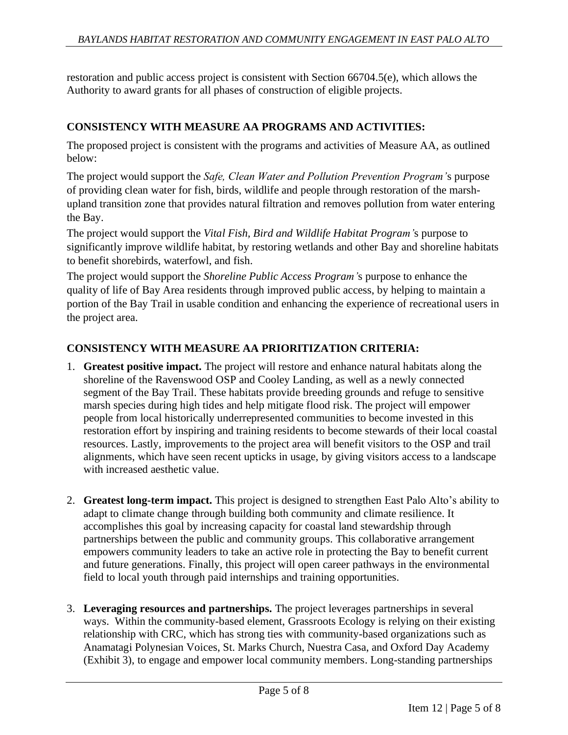restoration and public access project is consistent with Section 66704.5(e), which allows the Authority to award grants for all phases of construction of eligible projects.

### **CONSISTENCY WITH MEASURE AA PROGRAMS AND ACTIVITIES:**

The proposed project is consistent with the programs and activities of Measure AA, as outlined below:

The project would support the *Safe, Clean Water and Pollution Prevention Program'*s purpose of providing clean water for fish, birds, wildlife and people through restoration of the marshupland transition zone that provides natural filtration and removes pollution from water entering the Bay.

The project would support the *Vital Fish, Bird and Wildlife Habitat Program'*s purpose to significantly improve wildlife habitat, by restoring wetlands and other Bay and shoreline habitats to benefit shorebirds, waterfowl, and fish.

The project would support the *Shoreline Public Access Program'*s purpose to enhance the quality of life of Bay Area residents through improved public access, by helping to maintain a portion of the Bay Trail in usable condition and enhancing the experience of recreational users in the project area.

#### **CONSISTENCY WITH MEASURE AA PRIORITIZATION CRITERIA:**

- 1. **Greatest positive impact.** The project will restore and enhance natural habitats along the shoreline of the Ravenswood OSP and Cooley Landing, as well as a newly connected segment of the Bay Trail. These habitats provide breeding grounds and refuge to sensitive marsh species during high tides and help mitigate flood risk. The project will empower people from local historically underrepresented communities to become invested in this restoration effort by inspiring and training residents to become stewards of their local coastal resources. Lastly, improvements to the project area will benefit visitors to the OSP and trail alignments, which have seen recent upticks in usage, by giving visitors access to a landscape with increased aesthetic value.
- 2. **Greatest long-term impact.** This project is designed to strengthen East Palo Alto's ability to adapt to climate change through building both community and climate resilience. It accomplishes this goal by increasing capacity for coastal land stewardship through partnerships between the public and community groups. This collaborative arrangement empowers community leaders to take an active role in protecting the Bay to benefit current and future generations. Finally, this project will open career pathways in the environmental field to local youth through paid internships and training opportunities.
- 3. **Leveraging resources and partnerships.** The project leverages partnerships in several ways. Within the community-based element, Grassroots Ecology is relying on their existing relationship with CRC, which has strong ties with community-based organizations such as Anamatagi Polynesian Voices, St. Marks Church, Nuestra Casa, and Oxford Day Academy (Exhibit 3), to engage and empower local community members. Long-standing partnerships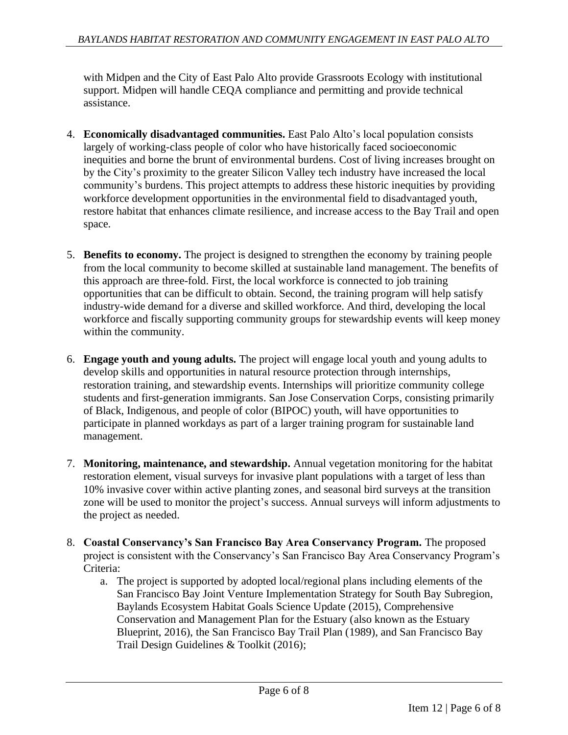with Midpen and the City of East Palo Alto provide Grassroots Ecology with institutional support. Midpen will handle CEQA compliance and permitting and provide technical assistance.

- 4. **Economically disadvantaged communities.** East Palo Alto's local population consists largely of working-class people of color who have historically faced socioeconomic inequities and borne the brunt of environmental burdens. Cost of living increases brought on by the City's proximity to the greater Silicon Valley tech industry have increased the local community's burdens. This project attempts to address these historic inequities by providing workforce development opportunities in the environmental field to disadvantaged youth, restore habitat that enhances climate resilience, and increase access to the Bay Trail and open space.
- 5. **Benefits to economy.** The project is designed to strengthen the economy by training people from the local community to become skilled at sustainable land management. The benefits of this approach are three-fold. First, the local workforce is connected to job training opportunities that can be difficult to obtain. Second, the training program will help satisfy industry-wide demand for a diverse and skilled workforce. And third, developing the local workforce and fiscally supporting community groups for stewardship events will keep money within the community.
- 6. **Engage youth and young adults.** The project will engage local youth and young adults to develop skills and opportunities in natural resource protection through internships, restoration training, and stewardship events. Internships will prioritize community college students and first-generation immigrants. San Jose Conservation Corps, consisting primarily of Black, Indigenous, and people of color (BIPOC) youth, will have opportunities to participate in planned workdays as part of a larger training program for sustainable land management.
- 7. **Monitoring, maintenance, and stewardship.** Annual vegetation monitoring for the habitat restoration element, visual surveys for invasive plant populations with a target of less than 10% invasive cover within active planting zones, and seasonal bird surveys at the transition zone will be used to monitor the project's success. Annual surveys will inform adjustments to the project as needed.
- 8. **Coastal Conservancy's San Francisco Bay Area Conservancy Program.** The proposed project is consistent with the Conservancy's San Francisco Bay Area Conservancy Program's Criteria:
	- a. The project is supported by adopted local/regional plans including elements of the San Francisco Bay Joint Venture Implementation Strategy for South Bay Subregion, Baylands Ecosystem Habitat Goals Science Update (2015), Comprehensive Conservation and Management Plan for the Estuary (also known as the Estuary Blueprint, 2016), the San Francisco Bay Trail Plan (1989), and San Francisco Bay Trail Design Guidelines & Toolkit (2016);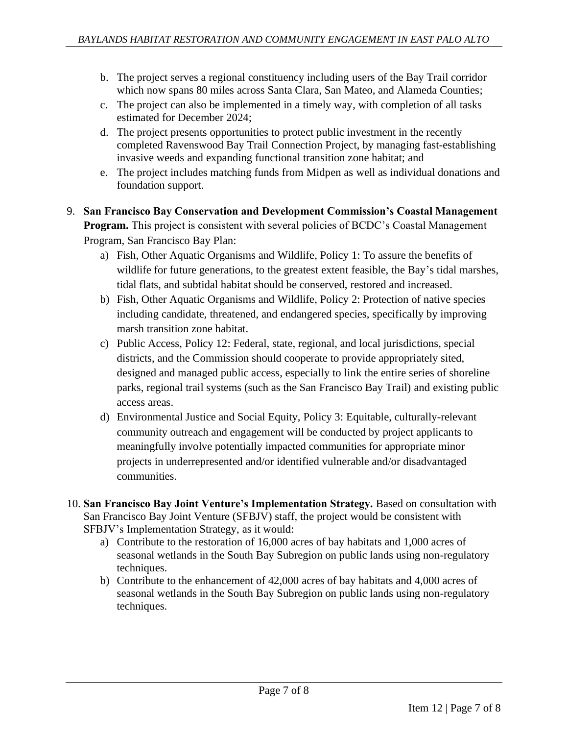- b. The project serves a regional constituency including users of the Bay Trail corridor which now spans 80 miles across Santa Clara, San Mateo, and Alameda Counties;
- c. The project can also be implemented in a timely way, with completion of all tasks estimated for December 2024;
- d. The project presents opportunities to protect public investment in the recently completed Ravenswood Bay Trail Connection Project, by managing fast-establishing invasive weeds and expanding functional transition zone habitat; and
- e. The project includes matching funds from Midpen as well as individual donations and foundation support.
- 9. **San Francisco Bay Conservation and Development Commission's Coastal Management Program.** This project is consistent with several policies of BCDC's Coastal Management Program, San Francisco Bay Plan:
	- a) Fish, Other Aquatic Organisms and Wildlife, Policy 1: To assure the benefits of wildlife for future generations, to the greatest extent feasible, the Bay's tidal marshes, tidal flats, and subtidal habitat should be conserved, restored and increased.
	- b) Fish, Other Aquatic Organisms and Wildlife, Policy 2: Protection of native species including candidate, threatened, and endangered species, specifically by improving marsh transition zone habitat.
	- c) Public Access, Policy 12: Federal, state, regional, and local jurisdictions, special districts, and the Commission should cooperate to provide appropriately sited, designed and managed public access, especially to link the entire series of shoreline parks, regional trail systems (such as the San Francisco Bay Trail) and existing public access areas.
	- d) Environmental Justice and Social Equity, Policy 3: Equitable, culturally-relevant community outreach and engagement will be conducted by project applicants to meaningfully involve potentially impacted communities for appropriate minor projects in underrepresented and/or identified vulnerable and/or disadvantaged communities.
- 10. **San Francisco Bay Joint Venture's Implementation Strategy.** Based on consultation with San Francisco Bay Joint Venture (SFBJV) staff, the project would be consistent with SFBJV's Implementation Strategy, as it would:
	- a) Contribute to the restoration of 16,000 acres of bay habitats and 1,000 acres of seasonal wetlands in the South Bay Subregion on public lands using non-regulatory techniques.
	- b) Contribute to the enhancement of 42,000 acres of bay habitats and 4,000 acres of seasonal wetlands in the South Bay Subregion on public lands using non-regulatory techniques.